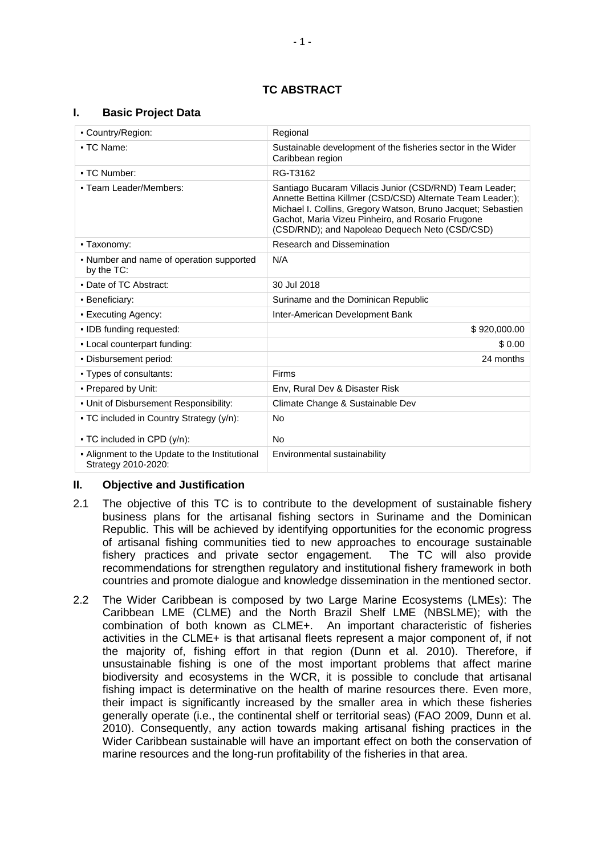### **TC ABSTRACT**

#### **I. Basic Project Data**

| • Country/Region:                                                     | Regional                                                                                                                                                                                                                                                                                     |  |
|-----------------------------------------------------------------------|----------------------------------------------------------------------------------------------------------------------------------------------------------------------------------------------------------------------------------------------------------------------------------------------|--|
| - TC Name:                                                            | Sustainable development of the fisheries sector in the Wider<br>Caribbean region                                                                                                                                                                                                             |  |
| • TC Number:                                                          | RG-T3162                                                                                                                                                                                                                                                                                     |  |
| • Team Leader/Members:                                                | Santiago Bucaram Villacis Junior (CSD/RND) Team Leader;<br>Annette Bettina Killmer (CSD/CSD) Alternate Team Leader;);<br>Michael I. Collins, Gregory Watson, Bruno Jacquet; Sebastien<br>Gachot, Maria Vizeu Pinheiro, and Rosario Frugone<br>(CSD/RND); and Napoleao Dequech Neto (CSD/CSD) |  |
| - Taxonomy:                                                           | <b>Research and Dissemination</b>                                                                                                                                                                                                                                                            |  |
| • Number and name of operation supported<br>by the TC:                | N/A                                                                                                                                                                                                                                                                                          |  |
| • Date of TC Abstract:                                                | 30 Jul 2018                                                                                                                                                                                                                                                                                  |  |
| • Beneficiary:                                                        | Suriname and the Dominican Republic                                                                                                                                                                                                                                                          |  |
| • Executing Agency:                                                   | Inter-American Development Bank                                                                                                                                                                                                                                                              |  |
| • IDB funding requested:                                              | \$920,000.00                                                                                                                                                                                                                                                                                 |  |
| - Local counterpart funding:                                          | \$0.00                                                                                                                                                                                                                                                                                       |  |
| . Disbursement period:                                                | 24 months                                                                                                                                                                                                                                                                                    |  |
| • Types of consultants:                                               | <b>Firms</b>                                                                                                                                                                                                                                                                                 |  |
| • Prepared by Unit:                                                   | Env, Rural Dev & Disaster Risk                                                                                                                                                                                                                                                               |  |
| . Unit of Disbursement Responsibility:                                | Climate Change & Sustainable Dev                                                                                                                                                                                                                                                             |  |
| • TC included in Country Strategy (y/n):                              | <b>No</b>                                                                                                                                                                                                                                                                                    |  |
| • TC included in CPD (y/n):                                           | <b>No</b>                                                                                                                                                                                                                                                                                    |  |
| - Alignment to the Update to the Institutional<br>Strategy 2010-2020: | Environmental sustainability                                                                                                                                                                                                                                                                 |  |

#### **II. Objective and Justification**

- 2.1 The objective of this TC is to contribute to the development of sustainable fishery business plans for the artisanal fishing sectors in Suriname and the Dominican Republic. This will be achieved by identifying opportunities for the economic progress of artisanal fishing communities tied to new approaches to encourage sustainable fishery practices and private sector engagement. The TC will also provide recommendations for strengthen regulatory and institutional fishery framework in both countries and promote dialogue and knowledge dissemination in the mentioned sector.
- 2.2 The Wider Caribbean is composed by two Large Marine Ecosystems (LMEs): The Caribbean LME (CLME) and the North Brazil Shelf LME (NBSLME); with the combination of both known as CLME+. An important characteristic of fisheries activities in the CLME+ is that artisanal fleets represent a major component of, if not the majority of, fishing effort in that region (Dunn et al. 2010). Therefore, if unsustainable fishing is one of the most important problems that affect marine biodiversity and ecosystems in the WCR, it is possible to conclude that artisanal fishing impact is determinative on the health of marine resources there. Even more, their impact is significantly increased by the smaller area in which these fisheries generally operate (i.e., the continental shelf or territorial seas) (FAO 2009, Dunn et al. 2010). Consequently, any action towards making artisanal fishing practices in the Wider Caribbean sustainable will have an important effect on both the conservation of marine resources and the long-run profitability of the fisheries in that area.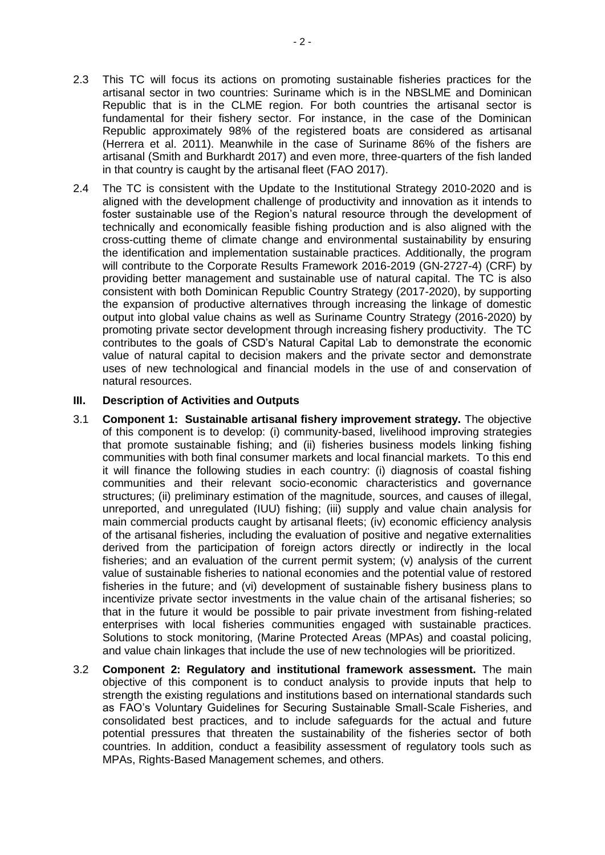- 2.3 This TC will focus its actions on promoting sustainable fisheries practices for the artisanal sector in two countries: Suriname which is in the NBSLME and Dominican Republic that is in the CLME region. For both countries the artisanal sector is fundamental for their fishery sector. For instance, in the case of the Dominican Republic approximately 98% of the registered boats are considered as artisanal (Herrera et al. 2011). Meanwhile in the case of Suriname 86% of the fishers are artisanal (Smith and Burkhardt 2017) and even more, three-quarters of the fish landed in that country is caught by the artisanal fleet (FAO 2017).
- 2.4 The TC is consistent with the Update to the Institutional Strategy 2010-2020 and is aligned with the development challenge of productivity and innovation as it intends to foster sustainable use of the Region's natural resource through the development of technically and economically feasible fishing production and is also aligned with the cross-cutting theme of climate change and environmental sustainability by ensuring the identification and implementation sustainable practices. Additionally, the program will contribute to the Corporate Results Framework 2016-2019 (GN-2727-4) (CRF) by providing better management and sustainable use of natural capital. The TC is also consistent with both Dominican Republic Country Strategy (2017-2020), by supporting the expansion of productive alternatives through increasing the linkage of domestic output into global value chains as well as Suriname Country Strategy (2016-2020) by promoting private sector development through increasing fishery productivity. The TC contributes to the goals of CSD's Natural Capital Lab to demonstrate the economic value of natural capital to decision makers and the private sector and demonstrate uses of new technological and financial models in the use of and conservation of natural resources.

### **III. Description of Activities and Outputs**

- 3.1 **Component 1: Sustainable artisanal fishery improvement strategy.** The objective of this component is to develop: (i) community-based, livelihood improving strategies that promote sustainable fishing; and (ii) fisheries business models linking fishing communities with both final consumer markets and local financial markets. To this end it will finance the following studies in each country: (i) diagnosis of coastal fishing communities and their relevant socio-economic characteristics and governance structures; (ii) preliminary estimation of the magnitude, sources, and causes of illegal, unreported, and unregulated (IUU) fishing; (iii) supply and value chain analysis for main commercial products caught by artisanal fleets; (iv) economic efficiency analysis of the artisanal fisheries, including the evaluation of positive and negative externalities derived from the participation of foreign actors directly or indirectly in the local fisheries; and an evaluation of the current permit system; (v) analysis of the current value of sustainable fisheries to national economies and the potential value of restored fisheries in the future; and (vi) development of sustainable fishery business plans to incentivize private sector investments in the value chain of the artisanal fisheries; so that in the future it would be possible to pair private investment from fishing-related enterprises with local fisheries communities engaged with sustainable practices. Solutions to stock monitoring, (Marine Protected Areas (MPAs) and coastal policing, and value chain linkages that include the use of new technologies will be prioritized.
- 3.2 **Component 2: Regulatory and institutional framework assessment.** The main objective of this component is to conduct analysis to provide inputs that help to strength the existing regulations and institutions based on international standards such as FAO's Voluntary Guidelines for Securing Sustainable Small-Scale Fisheries, and consolidated best practices, and to include safeguards for the actual and future potential pressures that threaten the sustainability of the fisheries sector of both countries. In addition, conduct a feasibility assessment of regulatory tools such as MPAs, Rights-Based Management schemes, and others.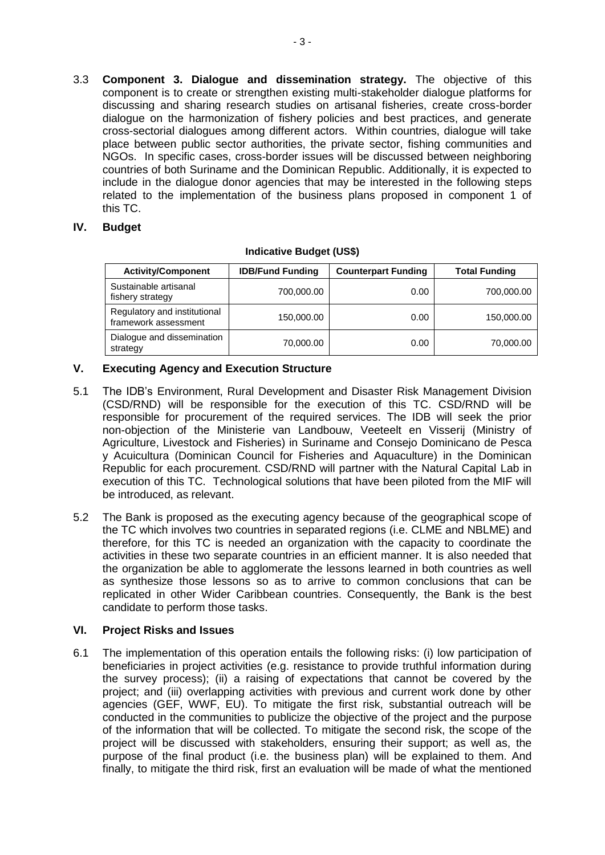3.3 **Component 3. Dialogue and dissemination strategy.** The objective of this component is to create or strengthen existing multi-stakeholder dialogue platforms for discussing and sharing research studies on artisanal fisheries, create cross-border dialogue on the harmonization of fishery policies and best practices, and generate cross-sectorial dialogues among different actors. Within countries, dialogue will take place between public sector authorities, the private sector, fishing communities and NGOs. In specific cases, cross-border issues will be discussed between neighboring countries of both Suriname and the Dominican Republic. Additionally, it is expected to include in the dialogue donor agencies that may be interested in the following steps related to the implementation of the business plans proposed in component 1 of this TC.

## **IV. Budget**

| <b>Activity/Component</b>                            | <b>IDB/Fund Funding</b> | <b>Counterpart Funding</b> | <b>Total Funding</b> |
|------------------------------------------------------|-------------------------|----------------------------|----------------------|
| Sustainable artisanal<br>fishery strategy            | 700,000.00              | 0.00                       | 700,000.00           |
| Regulatory and institutional<br>framework assessment | 150,000.00              | 0.00                       | 150,000.00           |
| Dialogue and dissemination<br>strategy               | 70,000.00               | 0.00                       | 70,000.00            |

### **Indicative Budget (US\$)**

# **V. Executing Agency and Execution Structure**

- 5.1 The IDB's Environment, Rural Development and Disaster Risk Management Division (CSD/RND) will be responsible for the execution of this TC. CSD/RND will be responsible for procurement of the required services. The IDB will seek the prior non-objection of the Ministerie van Landbouw, Veeteelt en Visserij (Ministry of Agriculture, Livestock and Fisheries) in Suriname and Consejo Dominicano de Pesca y Acuicultura (Dominican Council for Fisheries and Aquaculture) in the Dominican Republic for each procurement. CSD/RND will partner with the Natural Capital Lab in execution of this TC. Technological solutions that have been piloted from the MIF will be introduced, as relevant.
- 5.2 The Bank is proposed as the executing agency because of the geographical scope of the TC which involves two countries in separated regions (i.e. CLME and NBLME) and therefore, for this TC is needed an organization with the capacity to coordinate the activities in these two separate countries in an efficient manner. It is also needed that the organization be able to agglomerate the lessons learned in both countries as well as synthesize those lessons so as to arrive to common conclusions that can be replicated in other Wider Caribbean countries. Consequently, the Bank is the best candidate to perform those tasks.

## **VI. Project Risks and Issues**

6.1 The implementation of this operation entails the following risks: (i) low participation of beneficiaries in project activities (e.g. resistance to provide truthful information during the survey process); (ii) a raising of expectations that cannot be covered by the project; and (iii) overlapping activities with previous and current work done by other agencies (GEF, WWF, EU). To mitigate the first risk, substantial outreach will be conducted in the communities to publicize the objective of the project and the purpose of the information that will be collected. To mitigate the second risk, the scope of the project will be discussed with stakeholders, ensuring their support; as well as, the purpose of the final product (i.e. the business plan) will be explained to them. And finally, to mitigate the third risk, first an evaluation will be made of what the mentioned